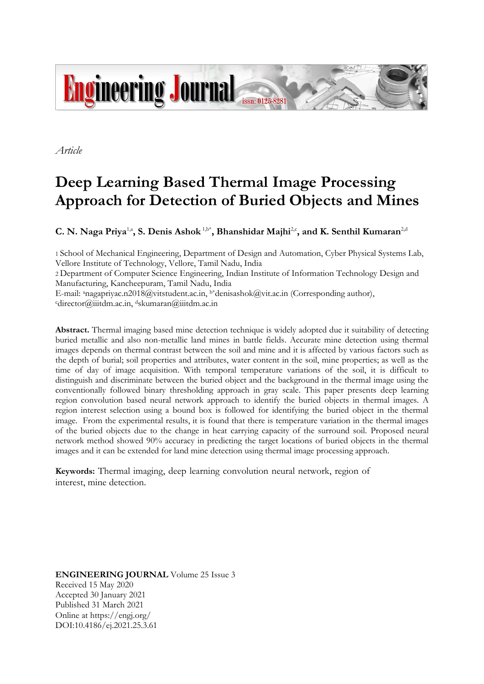

*Article*

# **Deep Learning Based Thermal Image Processing Approach for Detection of Buried Objects and Mines**

 $C.$  **N. Naga Priya<sup>1,a</sup>, S. Denis Ashok<sup>1,b\*</sup>, Bhanshidar Majhi<sup>2,c</sup>, and K. Senthil Kumaran<sup>2,d</sup>** 

1 School of Mechanical Engineering, Department of Design and Automation, Cyber Physical Systems Lab, Vellore Institute of Technology, Vellore, Tamil Nadu, India

2 Department of Computer Science Engineering, Indian Institute of Information Technology Design and Manufacturing, Kancheepuram, Tamil Nadu, India

E-mail: anagapriyac.n2018@vitstudent.ac.in, b\*denisashok@vit.ac.in (Corresponding author), <sup>c</sup>director@iiitdm.ac.in, dskumaran@iiitdm.ac.in

**Abstract.** Thermal imaging based mine detection technique is widely adopted due it suitability of detecting buried metallic and also non-metallic land mines in battle fields. Accurate mine detection using thermal images depends on thermal contrast between the soil and mine and it is affected by various factors such as the depth of burial; soil properties and attributes, water content in the soil, mine properties; as well as the time of day of image acquisition. With temporal temperature variations of the soil, it is difficult to distinguish and discriminate between the buried object and the background in the thermal image using the conventionally followed binary thresholding approach in gray scale. This paper presents deep learning region convolution based neural network approach to identify the buried objects in thermal images. A region interest selection using a bound box is followed for identifying the buried object in the thermal image. From the experimental results, it is found that there is temperature variation in the thermal images of the buried objects due to the change in heat carrying capacity of the surround soil. Proposed neural network method showed 90% accuracy in predicting the target locations of buried objects in the thermal images and it can be extended for land mine detection using thermal image processing approach.

**Keywords:** Thermal imaging, deep learning convolution neural network, region of interest, mine detection.

**ENGINEERING JOURNAL** Volume 25 Issue 3 Received 15 May 2020 Accepted 30 January 2021 Published 31 March 2021 Online at https://engj.org/ DOI:10.4186/ej.2021.25.3.61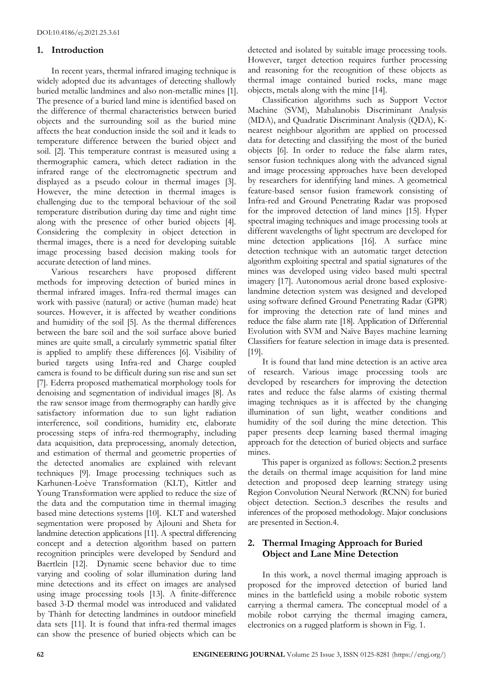## **1. Introduction**

In recent years, thermal infrared imaging technique is widely adopted due its advantages of detecting shallowly buried metallic landmines and also non-metallic mines [1]. The presence of a buried land mine is identified based on the difference of thermal characteristics between buried objects and the surrounding soil as the buried mine affects the heat conduction inside the soil and it leads to temperature difference between the buried object and soil. [2]. This temperature contrast is measured using a thermographic camera, which detect radiation in the infrared range of the electromagnetic spectrum and displayed as a pseudo colour in thermal images [3]. However, the mine detection in thermal images is challenging due to the temporal behaviour of the soil temperature distribution during day time and night time along with the presence of other buried objects [4]. Considering the complexity in object detection in thermal images, there is a need for developing suitable image processing based decision making tools for accurate detection of land mines.

Various researchers have proposed different methods for improving detection of buried mines in thermal infrared images. Infra-red thermal images can work with passive (natural) or active (human made) heat sources. However, it is affected by weather conditions and humidity of the soil [5]. As the thermal differences between the bare soil and the soil surface above buried mines are quite small, a circularly symmetric spatial filter is applied to amplify these differences [6]. Visibility of buried targets using Infra-red and Charge coupled camera is found to be difficult during sun rise and sun set [7]. Ederra proposed mathematical morphology tools for denoising and segmentation of individual images [8]. As the raw sensor image from thermography can hardly give satisfactory information due to sun light radiation interference, soil conditions, humidity etc, elaborate processing steps of infra-red thermography, including data acquisition, data preprocessing, anomaly detection, and estimation of thermal and geometric properties of the detected anomalies are explained with relevant techniques [9]. Image processing techniques such as Karhunen-Loève Transformation (KLT), Kittler and Young Transformation were applied to reduce the size of the data and the computation time in thermal imaging based mine detections systems [10]. KLT and watershed segmentation were proposed by Ajlouni and Sheta for landmine detection applications [11]. A spectral differencing concept and a detection algorithm based on pattern recognition principles were developed by Sendurd and Baertlein [12]. Dynamic scene behavior due to time varying and cooling of solar illumination during land mine detections and its effect on images are analysed using image processing tools [13]. A finite-difference based 3-D thermal model was introduced and validated by Thành for detecting landmines in outdoor minefield data sets [11]. It is found that infra-red thermal images can show the presence of buried objects which can be

detected and isolated by suitable image processing tools. However, target detection requires further processing and reasoning for the recognition of these objects as thermal image contained buried rocks, mane mage objects, metals along with the mine [14].

Classification algorithms such as Support Vector Machine (SVM), Mahalanobis Discriminant Analysis (MDA), and Quadratic Discriminant Analysis (QDA), Knearest neighbour algorithm are applied on processed data for detecting and classifying the most of the buried objects [6]. In order to reduce the false alarm rates, sensor fusion techniques along with the advanced signal and image processing approaches have been developed by researchers for identifying land mines. A geometrical feature-based sensor fusion framework consisting of Infra-red and Ground Penetrating Radar was proposed for the improved detection of land mines [15]. Hyper spectral imaging techniques and image processing tools at different wavelengths of light spectrum are developed for mine detection applications [16]. A surface mine detection technique with an automatic target detection algorithm exploiting spectral and spatial signatures of the mines was developed using video based multi spectral imagery [17]. Autonomous aerial drone based explosivelandmine detection system was designed and developed using software defined Ground Penetrating Radar (GPR) for improving the detection rate of land mines and reduce the false alarm rate [18]. Application of Differential Evolution with SVM and Naïve Bayes machine learning Classifiers for feature selection in image data is presented. [19].

It is found that land mine detection is an active area of research. Various image processing tools are developed by researchers for improving the detection rates and reduce the false alarms of existing thermal imaging techniques as it is affected by the changing illumination of sun light, weather conditions and humidity of the soil during the mine detection. This paper presents deep learning based thermal imaging approach for the detection of buried objects and surface mines.

This paper is organized as follows: Section.2 presents the details on thermal image acquisition for land mine detection and proposed deep learning strategy using Region Convolution Neural Network (RCNN) for buried object detection. Section.3 describes the results and inferences of the proposed methodology. Major conclusions are presented in Section.4.

## **2. Thermal Imaging Approach for Buried Object and Lane Mine Detection**

In this work, a novel thermal imaging approach is proposed for the improved detection of buried land mines in the battlefield using a mobile robotic system carrying a thermal camera. The conceptual model of a mobile robot carrying the thermal imaging camera, electronics on a rugged platform is shown in Fig. 1.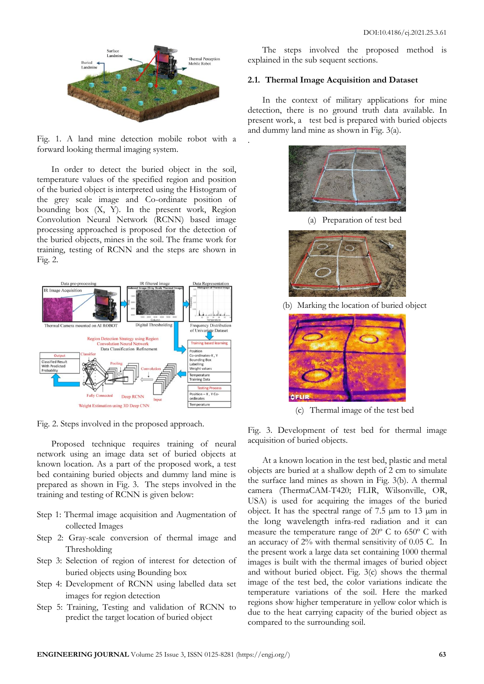

Fig. 1. A land mine detection mobile robot with a forward looking thermal imaging system.

In order to detect the buried object in the soil, temperature values of the specified region and position of the buried object is interpreted using the Histogram of the grey scale image and Co-ordinate position of bounding box (X, Y). In the present work, Region Convolution Neural Network (RCNN) based image processing approached is proposed for the detection of the buried objects, mines in the soil. The frame work for training, testing of RCNN and the steps are shown in Fig. 2.



Fig. 2. Steps involved in the proposed approach.

Proposed technique requires training of neural network using an image data set of buried objects at known location. As a part of the proposed work, a test bed containing buried objects and dummy land mine is prepared as shown in Fig. 3. The steps involved in the training and testing of RCNN is given below:

- Step 1: Thermal image acquisition and Augmentation of collected Images
- Step 2: Gray-scale conversion of thermal image and Thresholding
- Step 3: Selection of region of interest for detection of buried objects using Bounding box
- Step 4: Development of RCNN using labelled data set images for region detection
- Step 5: Training, Testing and validation of RCNN to predict the target location of buried object

The steps involved the proposed method is explained in the sub sequent sections.

#### **2.1. Thermal Image Acquisition and Dataset**

.

In the context of military applications for mine detection, there is no ground truth data available. In present work, a test bed is prepared with buried objects and dummy land mine as shown in Fig. 3(a).



(a) Preparation of test bed



(b) Marking the location of buried object



(c) Thermal image of the test bed

Fig. 3. Development of test bed for thermal image acquisition of buried objects.

At a known location in the test bed, plastic and metal objects are buried at a shallow depth of 2 cm to simulate the surface land mines as shown in Fig. 3(b). A thermal camera (ThermaCAM-T420; FLIR, Wilsonville, OR, USA) is used for acquiring the images of the buried object. It has the spectral range of 7.5 µm to 13 µm in the long wavelength infra-red radiation and it can measure the temperature range of 20º C to 650º C with an accuracy of 2% with thermal sensitivity of 0.05 C. In the present work a large data set containing 1000 thermal images is built with the thermal images of buried object and without buried object. Fig. 3(c) shows the thermal image of the test bed, the color variations indicate the temperature variations of the soil. Here the marked regions show higher temperature in yellow color which is due to the heat carrying capacity of the buried object as compared to the surrounding soil.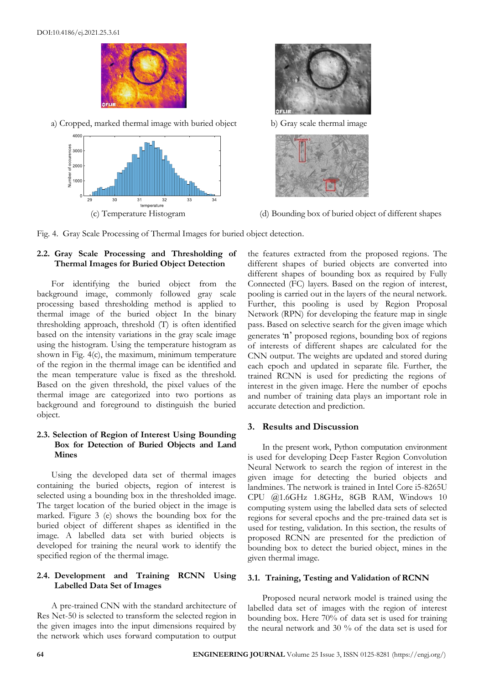

a) Cropped, marked thermal image with buried object b) Gray scale thermal image







(c) Temperature Histogram (d) Bounding box of buried object of different shapes

Fig. 4. Gray Scale Processing of Thermal Images for buried object detection.

## **2.2. Gray Scale Processing and Thresholding of Thermal Images for Buried Object Detection**

For identifying the buried object from the background image, commonly followed gray scale processing based thresholding method is applied to thermal image of the buried object In the binary thresholding approach, threshold (T) is often identified based on the intensity variations in the gray scale image using the histogram. Using the temperature histogram as shown in Fig. 4(c), the maximum, minimum temperature of the region in the thermal image can be identified and the mean temperature value is fixed as the threshold. Based on the given threshold, the pixel values of the thermal image are categorized into two portions as background and foreground to distinguish the buried object.

## **2.3. Selection of Region of Interest Using Bounding Box for Detection of Buried Objects and Land Mines**

Using the developed data set of thermal images containing the buried objects, region of interest is selected using a bounding box in the thresholded image. The target location of the buried object in the image is marked. Figure 3 (e) shows the bounding box for the buried object of different shapes as identified in the image. A labelled data set with buried objects is developed for training the neural work to identify the specified region of the thermal image.

## **2.4. Development and Training RCNN Using Labelled Data Set of Images**

A pre-trained CNN with the standard architecture of Res Net-50 is selected to transform the selected region in the given images into the input dimensions required by the network which uses forward computation to output

the features extracted from the proposed regions. The different shapes of buried objects are converted into different shapes of bounding box as required by Fully Connected (FC) layers. Based on the region of interest, pooling is carried out in the layers of the neural network. Further, this pooling is used by Region Proposal Network (RPN) for developing the feature map in single pass. Based on selective search for the given image which generates 'n' proposed regions, bounding box of regions of interests of different shapes are calculated for the CNN output. The weights are updated and stored during each epoch and updated in separate file. Further, the trained RCNN is used for predicting the regions of interest in the given image. Here the number of epochs and number of training data plays an important role in accurate detection and prediction.

## **3. Results and Discussion**

In the present work, Python computation environment is used for developing Deep Faster Region Convolution Neural Network to search the region of interest in the given image for detecting the buried objects and landmines. The network is trained in Intel Core i5-8265U CPU @1.6GHz 1.8GHz, 8GB RAM, Windows 10 computing system using the labelled data sets of selected regions for several epochs and the pre-trained data set is used for testing, validation. In this section, the results of proposed RCNN are presented for the prediction of bounding box to detect the buried object, mines in the given thermal image.

## **3.1. Training, Testing and Validation of RCNN**

Proposed neural network model is trained using the labelled data set of images with the region of interest bounding box. Here 70% of data set is used for training the neural network and 30 % of the data set is used for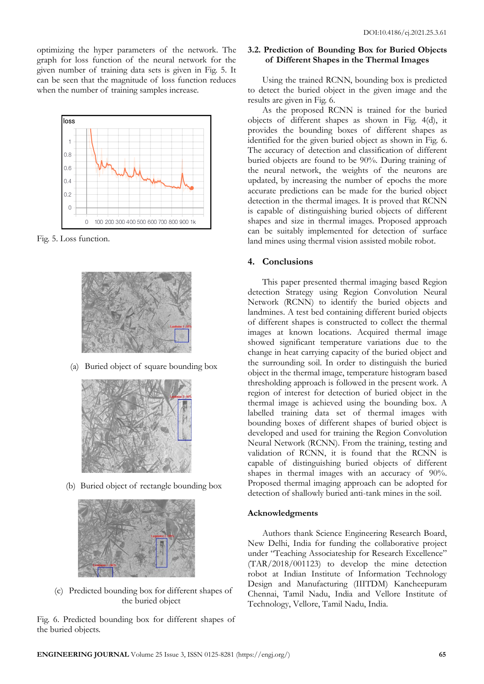optimizing the hyper parameters of the network. The graph for loss function of the neural network for the given number of training data sets is given in Fig. 5. It can be seen that the magnitude of loss function reduces when the number of training samples increase.



Fig. 5. Loss function.



(a) Buried object of square bounding box



(b) Buried object of rectangle bounding box



(c) Predicted bounding box for different shapes of the buried object

Fig. 6. Predicted bounding box for different shapes of the buried objects.

## **3.2. Prediction of Bounding Box for Buried Objects of Different Shapes in the Thermal Images**

Using the trained RCNN, bounding box is predicted to detect the buried object in the given image and the results are given in Fig. 6.

As the proposed RCNN is trained for the buried objects of different shapes as shown in Fig. 4(d), it provides the bounding boxes of different shapes as identified for the given buried object as shown in Fig. 6. The accuracy of detection and classification of different buried objects are found to be 90%. During training of the neural network, the weights of the neurons are updated, by increasing the number of epochs the more accurate predictions can be made for the buried object detection in the thermal images. It is proved that RCNN is capable of distinguishing buried objects of different shapes and size in thermal images. Proposed approach can be suitably implemented for detection of surface land mines using thermal vision assisted mobile robot.

## **4. Conclusions**

This paper presented thermal imaging based Region detection Strategy using Region Convolution Neural Network (RCNN) to identify the buried objects and landmines. A test bed containing different buried objects of different shapes is constructed to collect the thermal images at known locations. Acquired thermal image showed significant temperature variations due to the change in heat carrying capacity of the buried object and the surrounding soil. In order to distinguish the buried object in the thermal image, temperature histogram based thresholding approach is followed in the present work. A region of interest for detection of buried object in the thermal image is achieved using the bounding box. A labelled training data set of thermal images with bounding boxes of different shapes of buried object is developed and used for training the Region Convolution Neural Network (RCNN). From the training, testing and validation of RCNN, it is found that the RCNN is capable of distinguishing buried objects of different shapes in thermal images with an accuracy of 90%. Proposed thermal imaging approach can be adopted for detection of shallowly buried anti-tank mines in the soil.

## **Acknowledgments**

Authors thank Science Engineering Research Board, New Delhi, India for funding the collaborative project under "Teaching Associateship for Research Excellence" (TAR/2018/001123) to develop the mine detection robot at Indian Institute of Information Technology Design and Manufacturing (IIITDM) Kancheepuram Chennai, Tamil Nadu, India and Vellore Institute of Technology, Vellore, Tamil Nadu, India.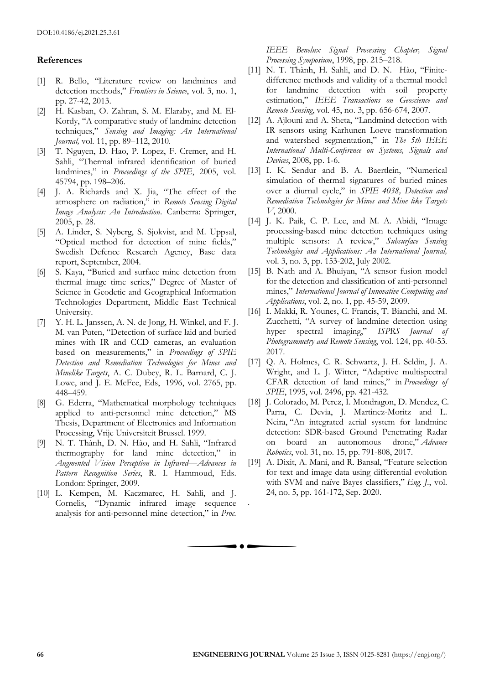### **References**

- [1] R. Bello, "Literature review on landmines and detection methods," *Frontiers in Science*, vol. 3, no. 1, pp. 27-42, 2013.
- [2] H. Kasban, O. Zahran, S. M. Elaraby, and M. El-Kordy, "A comparative study of landmine detection techniques," *Sensing and Imaging: An International Journal*, vol. 11, pp. 89-112, 2010.
- [3] T. Nguyen, D. Hao, P. Lopez, F. Cremer, and H. Sahli, "Thermal infrared identification of buried landmines," in *Proceedings of the SPIE*, 2005, vol. 45794, pp. 198–206.
- [4] J. A. Richards and X. Jia, "The effect of the atmosphere on radiation," in *Remote Sensing Digital Image Analysis: An Introduction*. Canberra: Springer, 2005, p. 28.
- [5] A. Linder, S. Nyberg, S. Sjokvist, and M. Uppsal, "Optical method for detection of mine fields," Swedish Defence Research Agency, Base data report, September, 2004.
- [6] S. Kaya, "Buried and surface mine detection from thermal image time series," Degree of Master of Science in Geodetic and Geographical Information Technologies Department, Middle East Technical University.
- [7] Y. H. L. Janssen, A. N. de Jong, H. Winkel, and F. J. M. van Puten, "Detection of surface laid and buried mines with IR and CCD cameras, an evaluation based on measurements," in *Proceedings of SPIE Detection and Remediation Technologies for Mines and Minelike Targets*, A. C. Dubey, R. L. Barnard, C. J. Lowe, and J. E. McFee, Eds, 1996, vol. 2765, pp. 448–459.
- [8] G. Ederra, "Mathematical morphology techniques applied to anti-personnel mine detection," MS Thesis, Department of Electronics and Information Processing, Vrije Universiteit Brussel. 1999.
- [9] N. T. Thành, D. N. Hào, and H. Sahli, "Infrared thermography for land mine detection," in *Augmented Vision Perception in Infrared—Advances in Pattern Recognition Series*, R. I. Hammoud, Eds. London: Springer, 2009.
- [10] L. Kempen, M. Kaczmarec, H. Sahli, and J. Cornelis, "Dynamic infrared image sequence analysis for anti-personnel mine detection," in *Proc.*

*IEEE Benelux Signal Processing Chapter, Signal Processing Symposium*, 1998, pp. 215–218.

- [11] N. T. Thành, H. Sahli, and D. N. Hào, "Finitedifference methods and validity of a thermal model for landmine detection with soil property estimation," *IEEE Transactions on Geoscience and Remote Sensing*, vol. 45, no. 3, pp. 656-674, 2007.
- [12] A. Ajlouni and A. Sheta, "Landmind detection with IR sensors using Karhunen Loeve transformation and watershed segmentation," in *The 5th IEEE International Multi-Conference on Systems, Signals and Devices*, 2008, pp. 1-6.
- [13] I. K. Sendur and B. A. Baertlein, "Numerical simulation of thermal signatures of buried mines over a diurnal cycle," in *SPIE 4038, Detection and Remediation Technologies for Mines and Mine like Targets V*, 2000.
- [14] J. K. Paik, C. P. Lee, and M. A. Abidi, "Image processing-based mine detection techniques using multiple sensors: A review," *Subsurface Sensing Technologies and Applications: An International Journal,* vol. 3, no. 3, pp. 153-202, July 2002.
- [15] B. Nath and A. Bhuiyan, "A sensor fusion model for the detection and classification of anti-personnel mines," *International Journal of Innovative Computing and Applications*, vol. 2, no. 1, pp. 45-59, 2009.
- [16] I. Makki, R. Younes, C. Francis, T. Bianchi, and M. Zucchetti, "A survey of landmine detection using hyper spectral imaging," *ISPRS Journal of Photogrammetry and Remote Sensing*, vol. 124, pp. 40-53. 2017.
- [17] Q. A. Holmes, C. R. Schwartz, J. H. Seldin, J. A. Wright, and L. J. Witter, "Adaptive multispectral CFAR detection of land mines," in *Proceedings of SPIE*, 1995, vol. 2496, pp. 421-432.
- [18] J. Colorado, M. Perez, I. Mondragon, D. Mendez, C. Parra, C. Devia, J. Martinez-Moritz and L. Neira, "An integrated aerial system for landmine detection: SDR-based Ground Penetrating Radar on board an autonomous drone," *Advance Robotics*, vol. 31, no. 15, pp. 791-808, 2017.
- [19] A. Dixit, A. Mani, and R. Bansal, "Feature selection for text and image data using differential evolution with SVM and naïve Bayes classifiers," *Eng. J.*, vol. 24, no. 5, pp. 161-172, Sep. 2020.

.

. . .